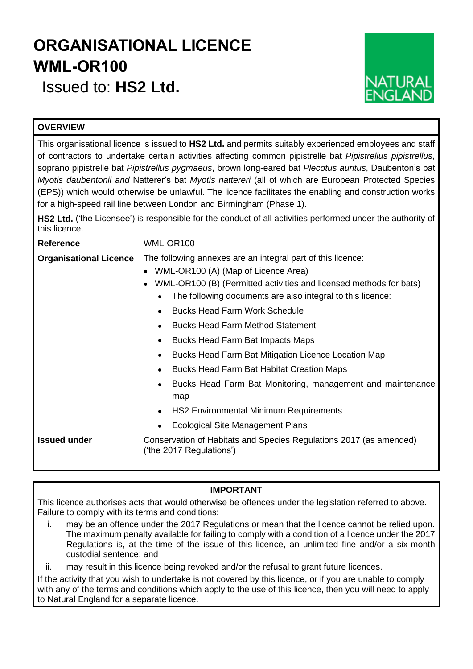# **ORGANISATIONAL LICENCE WML-OR100**

Issued to: **HS2 Ltd.**



## **OVERVIEW**

This organisational licence is issued to **HS2 Ltd.** and permits suitably experienced employees and staff of contractors to undertake certain activities affecting common pipistrelle bat *Pipistrellus pipistrellus*, soprano pipistrelle bat *Pipistrellus pygmaeus*, brown long-eared bat *Plecotus auritus*, Daubenton's bat *Myotis daubentonii and* Natterer's bat *Myotis nattereri* (all of which are European Protected Species (EPS)) which would otherwise be unlawful. The licence facilitates the enabling and construction works for a high-speed rail line between London and Birmingham (Phase 1).

**HS2 Ltd.** ('the Licensee') is responsible for the conduct of all activities performed under the authority of this licence.

**Reference** WML-OR100

- **Organisational Licence** The following annexes are an integral part of this licence:
	- WML-OR100 (A) (Map of Licence Area)
	- WML-OR100 (B) (Permitted activities and licensed methods for bats)
		- The following documents are also integral to this licence:
		- Bucks Head Farm Work Schedule
		- Bucks Head Farm Method Statement
		- Bucks Head Farm Bat Impacts Maps
		- Bucks Head Farm Bat Mitigation Licence Location Map
		- Bucks Head Farm Bat Habitat Creation Maps
		- Bucks Head Farm Bat Monitoring, management and maintenance map
		- HS2 Environmental Minimum Requirements
		- Ecological Site Management Plans

**Issued under Conservation of Habitats and Species Regulations 2017 (as amended)** ('the 2017 Regulations')

## **IMPORTANT**

This licence authorises acts that would otherwise be offences under the legislation referred to above. Failure to comply with its terms and conditions:

i. may be an offence under the 2017 Regulations or mean that the licence cannot be relied upon. The maximum penalty available for failing to comply with a condition of a licence under the 2017 Regulations is, at the time of the issue of this licence, an unlimited fine and/or a six-month custodial sentence; and

ii. may result in this licence being revoked and/or the refusal to grant future licences.

If the activity that you wish to undertake is not covered by this licence, or if you are unable to comply with any of the terms and conditions which apply to the use of this licence, then you will need to apply to Natural England for a separate licence.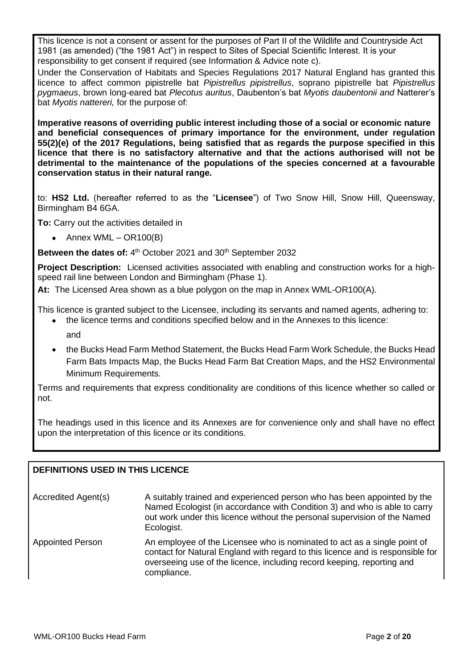This licence is not a consent or assent for the purposes of Part II of the Wildlife and Countryside Act 1981 (as amended) ("the 1981 Act") in respect to Sites of Special Scientific Interest. It is your responsibility to get consent if required (see Information & Advice note c).

Under the Conservation of Habitats and Species Regulations 2017 Natural England has granted this licence to affect common pipistrelle bat *Pipistrellus pipistrellus*, soprano pipistrelle bat *Pipistrellus pygmaeus*, brown long-eared bat *Plecotus auritus*, Daubenton's bat *Myotis daubentonii and* Natterer's bat *Myotis nattereri,* for the purpose of:

**Imperative reasons of overriding public interest including those of a social or economic nature and beneficial consequences of primary importance for the environment, under regulation 55(2)(e) of the 2017 Regulations, being satisfied that as regards the purpose specified in this licence that there is no satisfactory alternative and that the actions authorised will not be detrimental to the maintenance of the populations of the species concerned at a favourable conservation status in their natural range.**

to: **HS2 Ltd.** (hereafter referred to as the "**Licensee**") of Two Snow Hill, Snow Hill, Queensway, Birmingham B4 6GA.

**To:** Carry out the activities detailed in

• Annex WML –  $OR100(B)$ 

Between the dates of: 4<sup>th</sup> October 2021 and 30<sup>th</sup> September 2032

**Project Description:** Licensed activities associated with enabling and construction works for a highspeed rail line between London and Birmingham (Phase 1).

**At:** The Licensed Area shown as a blue polygon on the map in Annex WML-OR100(A).

This licence is granted subject to the Licensee, including its servants and named agents, adhering to:

- the licence terms and conditions specified below and in the Annexes to this licence: and
- the Bucks Head Farm Method Statement, the Bucks Head Farm Work Schedule, the Bucks Head Farm Bats Impacts Map, the Bucks Head Farm Bat Creation Maps, and the HS2 Environmental Minimum Requirements.

Terms and requirements that express conditionality are conditions of this licence whether so called or not.

The headings used in this licence and its Annexes are for convenience only and shall have no effect upon the interpretation of this licence or its conditions.

## **DEFINITIONS USED IN THIS LICENCE**

Accredited Agent(s) A suitably trained and experienced person who has been appointed by the Named Ecologist (in accordance with Condition 3) and who is able to carry out work under this licence without the personal supervision of the Named Ecologist. Appointed Person An employee of the Licensee who is nominated to act as a single point of contact for Natural England with regard to this licence and is responsible for overseeing use of the licence, including record keeping, reporting and compliance.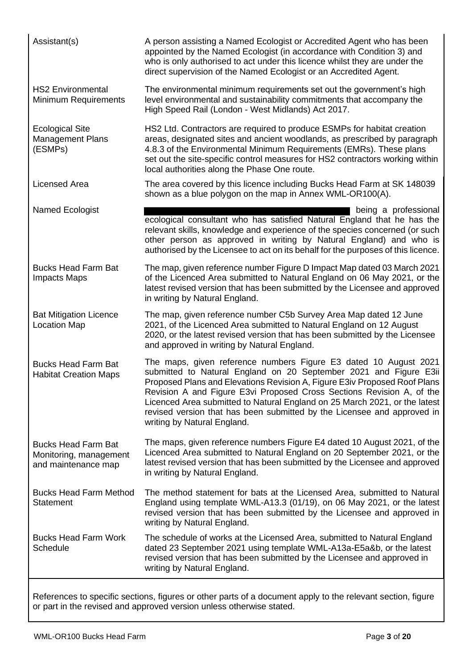| Assistant(s)<br>A person assisting a Named Ecologist or Accredited Agent who has been<br>appointed by the Named Ecologist (in accordance with Condition 3) and<br>who is only authorised to act under this licence whilst they are under the<br>direct supervision of the Named Ecologist or an Accredited Agent.<br><b>HS2 Environmental</b><br>The environmental minimum requirements set out the government's high<br><b>Minimum Requirements</b><br>level environmental and sustainability commitments that accompany the<br>High Speed Rail (London - West Midlands) Act 2017.<br><b>Ecological Site</b><br>HS2 Ltd. Contractors are required to produce ESMPs for habitat creation<br><b>Management Plans</b><br>areas, designated sites and ancient woodlands, as prescribed by paragraph<br>4.8.3 of the Environmental Minimum Requirements (EMRs). These plans<br>(ESMPs)<br>set out the site-specific control measures for HS2 contractors working within<br>local authorities along the Phase One route.<br><b>Licensed Area</b><br>The area covered by this licence including Bucks Head Farm at SK 148039<br>shown as a blue polygon on the map in Annex WML-OR100(A).<br>Named Ecologist<br>being a professional<br>ecological consultant who has satisfied Natural England that he has the<br>relevant skills, knowledge and experience of the species concerned (or such<br>other person as approved in writing by Natural England) and who is<br>authorised by the Licensee to act on its behalf for the purposes of this licence.<br><b>Bucks Head Farm Bat</b><br>The map, given reference number Figure D Impact Map dated 03 March 2021<br>of the Licenced Area submitted to Natural England on 06 May 2021, or the<br><b>Impacts Maps</b><br>latest revised version that has been submitted by the Licensee and approved<br>in writing by Natural England.<br>The map, given reference number C5b Survey Area Map dated 12 June<br><b>Bat Mitigation Licence</b><br>2021, of the Licenced Area submitted to Natural England on 12 August<br><b>Location Map</b><br>2020, or the latest revised version that has been submitted by the Licensee<br>and approved in writing by Natural England.<br>The maps, given reference numbers Figure E3 dated 10 August 2021<br><b>Bucks Head Farm Bat</b><br>submitted to Natural England on 20 September 2021 and Figure E3ii<br><b>Habitat Creation Maps</b><br>Proposed Plans and Elevations Revision A, Figure E3iv Proposed Roof Plans<br>Revision A and Figure E3vi Proposed Cross Sections Revision A, of the<br>Licenced Area submitted to Natural England on 25 March 2021, or the latest<br>revised version that has been submitted by the Licensee and approved in<br>writing by Natural England.<br>The maps, given reference numbers Figure E4 dated 10 August 2021, of the<br><b>Bucks Head Farm Bat</b><br>Licenced Area submitted to Natural England on 20 September 2021, or the<br>Monitoring, management<br>latest revised version that has been submitted by the Licensee and approved<br>and maintenance map<br>in writing by Natural England.<br><b>Bucks Head Farm Method</b><br>The method statement for bats at the Licensed Area, submitted to Natural<br>England using template WML-A13.3 (01/19), on 06 May 2021, or the latest<br><b>Statement</b><br>revised version that has been submitted by the Licensee and approved in<br>writing by Natural England.<br><b>Bucks Head Farm Work</b><br>The schedule of works at the Licensed Area, submitted to Natural England<br>dated 23 September 2021 using template WML-A13a-E5a&b, or the latest<br><b>Schedule</b><br>revised version that has been submitted by the Licensee and approved in<br>writing by Natural England. |  |
|-----------------------------------------------------------------------------------------------------------------------------------------------------------------------------------------------------------------------------------------------------------------------------------------------------------------------------------------------------------------------------------------------------------------------------------------------------------------------------------------------------------------------------------------------------------------------------------------------------------------------------------------------------------------------------------------------------------------------------------------------------------------------------------------------------------------------------------------------------------------------------------------------------------------------------------------------------------------------------------------------------------------------------------------------------------------------------------------------------------------------------------------------------------------------------------------------------------------------------------------------------------------------------------------------------------------------------------------------------------------------------------------------------------------------------------------------------------------------------------------------------------------------------------------------------------------------------------------------------------------------------------------------------------------------------------------------------------------------------------------------------------------------------------------------------------------------------------------------------------------------------------------------------------------------------------------------------------------------------------------------------------------------------------------------------------------------------------------------------------------------------------------------------------------------------------------------------------------------------------------------------------------------------------------------------------------------------------------------------------------------------------------------------------------------------------------------------------------------------------------------------------------------------------------------------------------------------------------------------------------------------------------------------------------------------------------------------------------------------------------------------------------------------------------------------------------------------------------------------------------------------------------------------------------------------------------------------------------------------------------------------------------------------------------------------------------------------------------------------------------------------------------------------------------------------------------------------------------------------------------------------------------------------------------------------------------------------------------------------------------------------------------------------------------------------------------------------------------------------------------------------------------------------------------------------------------------------------------------------------------------------------------------------------------------------------------------------------------------------------------------------------------------|--|
|                                                                                                                                                                                                                                                                                                                                                                                                                                                                                                                                                                                                                                                                                                                                                                                                                                                                                                                                                                                                                                                                                                                                                                                                                                                                                                                                                                                                                                                                                                                                                                                                                                                                                                                                                                                                                                                                                                                                                                                                                                                                                                                                                                                                                                                                                                                                                                                                                                                                                                                                                                                                                                                                                                                                                                                                                                                                                                                                                                                                                                                                                                                                                                                                                                                                                                                                                                                                                                                                                                                                                                                                                                                                                                                                                                       |  |
|                                                                                                                                                                                                                                                                                                                                                                                                                                                                                                                                                                                                                                                                                                                                                                                                                                                                                                                                                                                                                                                                                                                                                                                                                                                                                                                                                                                                                                                                                                                                                                                                                                                                                                                                                                                                                                                                                                                                                                                                                                                                                                                                                                                                                                                                                                                                                                                                                                                                                                                                                                                                                                                                                                                                                                                                                                                                                                                                                                                                                                                                                                                                                                                                                                                                                                                                                                                                                                                                                                                                                                                                                                                                                                                                                                       |  |
|                                                                                                                                                                                                                                                                                                                                                                                                                                                                                                                                                                                                                                                                                                                                                                                                                                                                                                                                                                                                                                                                                                                                                                                                                                                                                                                                                                                                                                                                                                                                                                                                                                                                                                                                                                                                                                                                                                                                                                                                                                                                                                                                                                                                                                                                                                                                                                                                                                                                                                                                                                                                                                                                                                                                                                                                                                                                                                                                                                                                                                                                                                                                                                                                                                                                                                                                                                                                                                                                                                                                                                                                                                                                                                                                                                       |  |
|                                                                                                                                                                                                                                                                                                                                                                                                                                                                                                                                                                                                                                                                                                                                                                                                                                                                                                                                                                                                                                                                                                                                                                                                                                                                                                                                                                                                                                                                                                                                                                                                                                                                                                                                                                                                                                                                                                                                                                                                                                                                                                                                                                                                                                                                                                                                                                                                                                                                                                                                                                                                                                                                                                                                                                                                                                                                                                                                                                                                                                                                                                                                                                                                                                                                                                                                                                                                                                                                                                                                                                                                                                                                                                                                                                       |  |
|                                                                                                                                                                                                                                                                                                                                                                                                                                                                                                                                                                                                                                                                                                                                                                                                                                                                                                                                                                                                                                                                                                                                                                                                                                                                                                                                                                                                                                                                                                                                                                                                                                                                                                                                                                                                                                                                                                                                                                                                                                                                                                                                                                                                                                                                                                                                                                                                                                                                                                                                                                                                                                                                                                                                                                                                                                                                                                                                                                                                                                                                                                                                                                                                                                                                                                                                                                                                                                                                                                                                                                                                                                                                                                                                                                       |  |
|                                                                                                                                                                                                                                                                                                                                                                                                                                                                                                                                                                                                                                                                                                                                                                                                                                                                                                                                                                                                                                                                                                                                                                                                                                                                                                                                                                                                                                                                                                                                                                                                                                                                                                                                                                                                                                                                                                                                                                                                                                                                                                                                                                                                                                                                                                                                                                                                                                                                                                                                                                                                                                                                                                                                                                                                                                                                                                                                                                                                                                                                                                                                                                                                                                                                                                                                                                                                                                                                                                                                                                                                                                                                                                                                                                       |  |
|                                                                                                                                                                                                                                                                                                                                                                                                                                                                                                                                                                                                                                                                                                                                                                                                                                                                                                                                                                                                                                                                                                                                                                                                                                                                                                                                                                                                                                                                                                                                                                                                                                                                                                                                                                                                                                                                                                                                                                                                                                                                                                                                                                                                                                                                                                                                                                                                                                                                                                                                                                                                                                                                                                                                                                                                                                                                                                                                                                                                                                                                                                                                                                                                                                                                                                                                                                                                                                                                                                                                                                                                                                                                                                                                                                       |  |
|                                                                                                                                                                                                                                                                                                                                                                                                                                                                                                                                                                                                                                                                                                                                                                                                                                                                                                                                                                                                                                                                                                                                                                                                                                                                                                                                                                                                                                                                                                                                                                                                                                                                                                                                                                                                                                                                                                                                                                                                                                                                                                                                                                                                                                                                                                                                                                                                                                                                                                                                                                                                                                                                                                                                                                                                                                                                                                                                                                                                                                                                                                                                                                                                                                                                                                                                                                                                                                                                                                                                                                                                                                                                                                                                                                       |  |
|                                                                                                                                                                                                                                                                                                                                                                                                                                                                                                                                                                                                                                                                                                                                                                                                                                                                                                                                                                                                                                                                                                                                                                                                                                                                                                                                                                                                                                                                                                                                                                                                                                                                                                                                                                                                                                                                                                                                                                                                                                                                                                                                                                                                                                                                                                                                                                                                                                                                                                                                                                                                                                                                                                                                                                                                                                                                                                                                                                                                                                                                                                                                                                                                                                                                                                                                                                                                                                                                                                                                                                                                                                                                                                                                                                       |  |
|                                                                                                                                                                                                                                                                                                                                                                                                                                                                                                                                                                                                                                                                                                                                                                                                                                                                                                                                                                                                                                                                                                                                                                                                                                                                                                                                                                                                                                                                                                                                                                                                                                                                                                                                                                                                                                                                                                                                                                                                                                                                                                                                                                                                                                                                                                                                                                                                                                                                                                                                                                                                                                                                                                                                                                                                                                                                                                                                                                                                                                                                                                                                                                                                                                                                                                                                                                                                                                                                                                                                                                                                                                                                                                                                                                       |  |
|                                                                                                                                                                                                                                                                                                                                                                                                                                                                                                                                                                                                                                                                                                                                                                                                                                                                                                                                                                                                                                                                                                                                                                                                                                                                                                                                                                                                                                                                                                                                                                                                                                                                                                                                                                                                                                                                                                                                                                                                                                                                                                                                                                                                                                                                                                                                                                                                                                                                                                                                                                                                                                                                                                                                                                                                                                                                                                                                                                                                                                                                                                                                                                                                                                                                                                                                                                                                                                                                                                                                                                                                                                                                                                                                                                       |  |

References to specific sections, figures or other parts of a document apply to the relevant section, figure or part in the revised and approved version unless otherwise stated.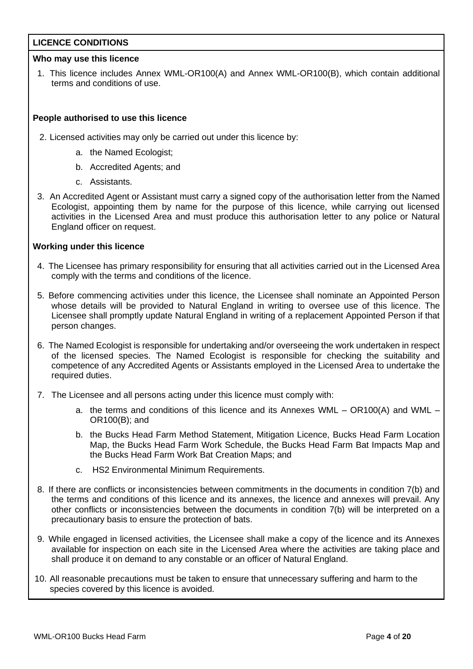## **LICENCE CONDITIONS**

## **Who may use this licence**

1. This licence includes Annex WML-OR100(A) and Annex WML-OR100(B), which contain additional terms and conditions of use.

## **People authorised to use this licence**

- 2. Licensed activities may only be carried out under this licence by:
	- a. the Named Ecologist;
	- b. Accredited Agents; and
	- c. Assistants.
- 3. An Accredited Agent or Assistant must carry a signed copy of the authorisation letter from the Named Ecologist, appointing them by name for the purpose of this licence, while carrying out licensed activities in the Licensed Area and must produce this authorisation letter to any police or Natural England officer on request.

## **Working under this licence**

- 4. The Licensee has primary responsibility for ensuring that all activities carried out in the Licensed Area comply with the terms and conditions of the licence.
- 5. Before commencing activities under this licence, the Licensee shall nominate an Appointed Person whose details will be provided to Natural England in writing to oversee use of this licence. The Licensee shall promptly update Natural England in writing of a replacement Appointed Person if that person changes.
- 6. The Named Ecologist is responsible for undertaking and/or overseeing the work undertaken in respect of the licensed species. The Named Ecologist is responsible for checking the suitability and competence of any Accredited Agents or Assistants employed in the Licensed Area to undertake the required duties.
- 7. The Licensee and all persons acting under this licence must comply with:
	- a. the terms and conditions of this licence and its Annexes WML OR100(A) and WML OR100(B); and
	- b. the Bucks Head Farm Method Statement, Mitigation Licence, Bucks Head Farm Location Map, the Bucks Head Farm Work Schedule, the Bucks Head Farm Bat Impacts Map and the Bucks Head Farm Work Bat Creation Maps; and
	- c. HS2 Environmental Minimum Requirements.
- 8. If there are conflicts or inconsistencies between commitments in the documents in condition 7(b) and the terms and conditions of this licence and its annexes, the licence and annexes will prevail. Any other conflicts or inconsistencies between the documents in condition 7(b) will be interpreted on a precautionary basis to ensure the protection of bats.
- 9. While engaged in licensed activities, the Licensee shall make a copy of the licence and its Annexes available for inspection on each site in the Licensed Area where the activities are taking place and shall produce it on demand to any constable or an officer of Natural England.
- 10. All reasonable precautions must be taken to ensure that unnecessary suffering and harm to the species covered by this licence is avoided.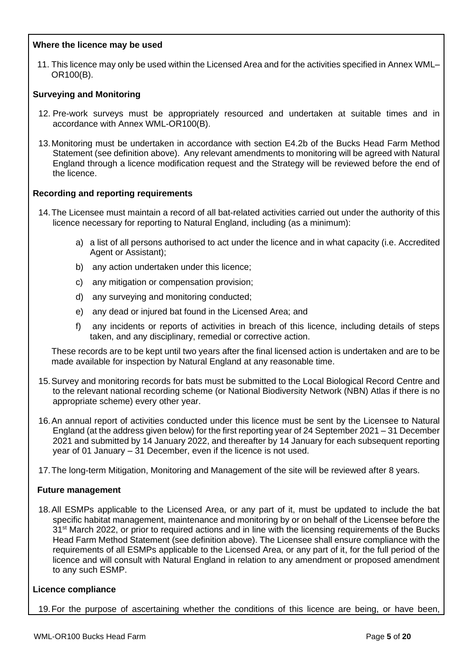## **Where the licence may be used**

11. This licence may only be used within the Licensed Area and for the activities specified in Annex WML– OR100(B).

## **Surveying and Monitoring**

- 12. Pre-work surveys must be appropriately resourced and undertaken at suitable times and in accordance with Annex WML-OR100(B).
- 13.Monitoring must be undertaken in accordance with section E4.2b of the Bucks Head Farm Method Statement (see definition above). Any relevant amendments to monitoring will be agreed with Natural England through a licence modification request and the Strategy will be reviewed before the end of the licence.

## **Recording and reporting requirements**

- 14.The Licensee must maintain a record of all bat-related activities carried out under the authority of this licence necessary for reporting to Natural England, including (as a minimum):
	- a) a list of all persons authorised to act under the licence and in what capacity (i.e. Accredited Agent or Assistant);
	- b) any action undertaken under this licence;
	- c) any mitigation or compensation provision;
	- d) any surveying and monitoring conducted;
	- e) any dead or injured bat found in the Licensed Area; and
	- f) any incidents or reports of activities in breach of this licence, including details of steps taken, and any disciplinary, remedial or corrective action.

These records are to be kept until two years after the final licensed action is undertaken and are to be made available for inspection by Natural England at any reasonable time.

- 15.Survey and monitoring records for bats must be submitted to the Local Biological Record Centre and to the relevant national recording scheme (or National Biodiversity Network (NBN) Atlas if there is no appropriate scheme) every other year.
- 16.An annual report of activities conducted under this licence must be sent by the Licensee to Natural England (at the address given below) for the first reporting year of 24 September 2021 – 31 December 2021 and submitted by 14 January 2022, and thereafter by 14 January for each subsequent reporting year of 01 January – 31 December, even if the licence is not used.
- 17.The long-term Mitigation, Monitoring and Management of the site will be reviewed after 8 years.

### **Future management**

18.All ESMPs applicable to the Licensed Area, or any part of it, must be updated to include the bat specific habitat management, maintenance and monitoring by or on behalf of the Licensee before the 31<sup>st</sup> March 2022, or prior to required actions and in line with the licensing requirements of the Bucks Head Farm Method Statement (see definition above). The Licensee shall ensure compliance with the requirements of all ESMPs applicable to the Licensed Area, or any part of it, for the full period of the licence and will consult with Natural England in relation to any amendment or proposed amendment to any such ESMP.

### **Licence compliance**

19.For the purpose of ascertaining whether the conditions of this licence are being, or have been,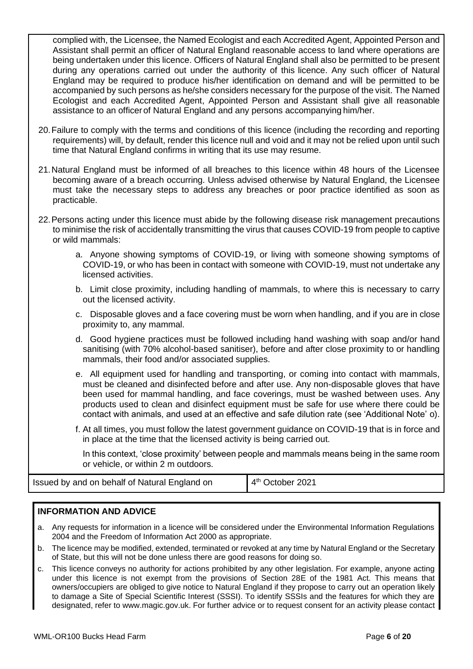complied with, the Licensee, the Named Ecologist and each Accredited Agent, Appointed Person and Assistant shall permit an officer of Natural England reasonable access to land where operations are being undertaken under this licence. Officers of Natural England shall also be permitted to be present during any operations carried out under the authority of this licence. Any such officer of Natural England may be required to produce his/her identification on demand and will be permitted to be accompanied by such persons as he/she considers necessary for the purpose of the visit. The Named Ecologist and each Accredited Agent, Appointed Person and Assistant shall give all reasonable assistance to an officerof Natural England and any persons accompanying him/her.

- 20.Failure to comply with the terms and conditions of this licence (including the recording and reporting requirements) will, by default, render this licence null and void and it may not be relied upon until such time that Natural England confirms in writing that its use may resume.
- 21.Natural England must be informed of all breaches to this licence within 48 hours of the Licensee becoming aware of a breach occurring. Unless advised otherwise by Natural England, the Licensee must take the necessary steps to address any breaches or poor practice identified as soon as practicable.
- 22.Persons acting under this licence must abide by the following disease risk management precautions to minimise the risk of accidentally transmitting the virus that causes COVID-19 from people to captive or wild mammals:
	- a. Anyone showing symptoms of COVID-19, or living with someone showing symptoms of COVID-19, or who has been in contact with someone with COVID-19, must not undertake any licensed activities.
	- b. Limit close proximity, including handling of mammals, to where this is necessary to carry out the licensed activity.
	- c. Disposable gloves and a face covering must be worn when handling, and if you are in close proximity to, any mammal.
	- d. Good hygiene practices must be followed including hand washing with soap and/or hand sanitising (with 70% alcohol-based sanitiser), before and after close proximity to or handling mammals, their food and/or associated supplies.
	- e. All equipment used for handling and transporting, or coming into contact with mammals, must be cleaned and disinfected before and after use. Any non-disposable gloves that have been used for mammal handling, and face coverings, must be washed between uses. Any products used to clean and disinfect equipment must be safe for use where there could be contact with animals, and used at an effective and safe dilution rate (see 'Additional Note' o).
	- f. At all times, you must follow the latest government guidance on COVID-19 that is in force and in place at the time that the licensed activity is being carried out.

In this context, 'close proximity' between people and mammals means being in the same room or vehicle, or within 2 m outdoors.

| Issued by and on behalf of Natural England on | $4th$ October 2021 |
|-----------------------------------------------|--------------------|
|-----------------------------------------------|--------------------|

## **INFORMATION AND ADVICE**

- a. Any requests for information in a licence will be considered under the Environmental Information Regulations 2004 and the Freedom of Information Act 2000 as appropriate.
- b. The licence may be modified, extended, terminated or revoked at any time by Natural England or the Secretary of State, but this will not be done unless there are good reasons for doing so.
- c. This licence conveys no authority for actions prohibited by any other legislation. For example, anyone acting under this licence is not exempt from the provisions of Section 28E of the 1981 Act. This means that owners/occupiers are obliged to give notice to Natural England if they propose to carry out an operation likely to damage a Site of Special Scientific Interest (SSSI). To identify SSSIs and the features for which they are designated, refer to www.magic.gov.uk. For further advice or to request consent for an activity please contact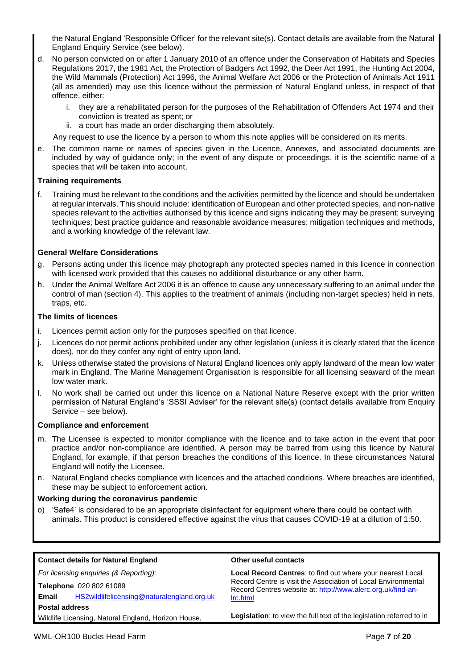the Natural England 'Responsible Officer' for the relevant site(s). Contact details are available from the Natural England Enquiry Service (see below).

- d. No person convicted on or after 1 January 2010 of an offence under the Conservation of Habitats and Species Regulations 2017, the 1981 Act, the Protection of Badgers Act 1992, the Deer Act 1991, the Hunting Act 2004, the Wild Mammals (Protection) Act 1996, the Animal Welfare Act 2006 or the Protection of Animals Act 1911 (all as amended) may use this licence without the permission of Natural England unless, in respect of that offence, either:
	- i. they are a rehabilitated person for the purposes of the Rehabilitation of Offenders Act 1974 and their conviction is treated as spent; or
	- ii. a court has made an order discharging them absolutely.
	- Any request to use the licence by a person to whom this note applies will be considered on its merits.
- e. The common name or names of species given in the Licence, Annexes, and associated documents are included by way of guidance only; in the event of any dispute or proceedings, it is the scientific name of a species that will be taken into account.

#### **Training requirements**

f. Training must be relevant to the conditions and the activities permitted by the licence and should be undertaken at regular intervals. This should include: identification of European and other protected species, and non-native species relevant to the activities authorised by this licence and signs indicating they may be present; surveying techniques; best practice guidance and reasonable avoidance measures; mitigation techniques and methods, and a working knowledge of the relevant law.

#### **General Welfare Considerations**

- g. Persons acting under this licence may photograph any protected species named in this licence in connection with licensed work provided that this causes no additional disturbance or any other harm.
- h. Under the Animal Welfare Act 2006 it is an offence to cause any unnecessary suffering to an animal under the control of man (section 4). This applies to the treatment of animals (including non-target species) held in nets, traps, etc.

#### **The limits of licences**

- i. Licences permit action only for the purposes specified on that licence.
- j. Licences do not permit actions prohibited under any other legislation (unless it is clearly stated that the licence does), nor do they confer any right of entry upon land.
- k. Unless otherwise stated the provisions of Natural England licences only apply landward of the mean low water mark in England. The Marine Management Organisation is responsible for all licensing seaward of the mean low water mark.
- l. No work shall be carried out under this licence on a National Nature Reserve except with the prior written permission of Natural England's 'SSSI Adviser' for the relevant site(s) (contact details available from Enquiry Service – see below).

### **Compliance and enforcement**

- m. The Licensee is expected to monitor compliance with the licence and to take action in the event that poor practice and/or non-compliance are identified. A person may be barred from using this licence by Natural England, for example, if that person breaches the conditions of this licence. In these circumstances Natural England will notify the Licensee.
- n. Natural England checks compliance with licences and the attached conditions. Where breaches are identified, these may be subject to enforcement action.

#### **Working during the coronavirus pandemic**

o) 'Safe4' is considered to be an appropriate disinfectant for equipment where there could be contact with animals. This product is considered effective against the virus that causes COVID-19 at a dilution of 1:50.

| <b>Contact details for Natural England</b>          | Other useful contacts                                                                                                                                                                      |  |  |  |
|-----------------------------------------------------|--------------------------------------------------------------------------------------------------------------------------------------------------------------------------------------------|--|--|--|
| For licensing enquiries (& Reporting):              | Local Record Centres: to find out where your nearest Local<br>Record Centre is visit the Association of Local Environmental<br>Record Centres website at: http://www.alerc.org.uk/find-an- |  |  |  |
| Telephone 020 802 61089                             |                                                                                                                                                                                            |  |  |  |
| HS2wildlifelicensing@naturalengland.org.uk<br>Email | Irc.html                                                                                                                                                                                   |  |  |  |
| <b>Postal address</b>                               |                                                                                                                                                                                            |  |  |  |
| Wildlife Licensing, Natural England, Horizon House, | Legislation: to view the full text of the legislation referred to in                                                                                                                       |  |  |  |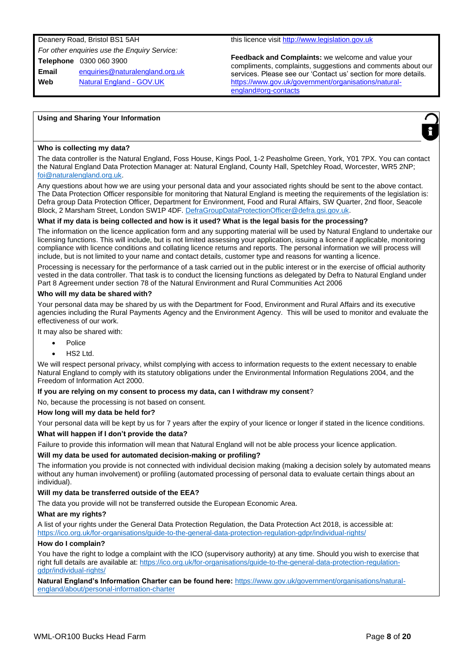Deanery Road, Bristol BS1 5AH *For other enquiries use the Enquiry Service:* **Telephone** 0300 060 3900 **Email** enquiries@naturalengland.org.uk **Web** Natural England - GOV.UK

this licence visit http://www.legislation.gov.uk

**Feedback and Complaints:** we welcome and value your compliments, complaints, suggestions and comments about our services. Please see our 'Contact us' section for more details. https://www.gov.uk/government/organisations/naturalengland#org-contacts

#### **Using and Sharing Your Information**



The data controller is the Natural England, Foss House, Kings Pool, 1-2 Peasholme Green, York, Y01 7PX. You can contact the Natural England Data Protection Manager at: Natural England, County Hall, Spetchley Road, Worcester, WR5 2NP; foi@naturalengland.org.uk.

Any questions about how we are using your personal data and your associated rights should be sent to the above contact. The Data Protection Officer responsible for monitoring that Natural England is meeting the requirements of the legislation is: Defra group Data Protection Officer, Department for Environment, Food and Rural Affairs, SW Quarter, 2nd floor, Seacole Block, 2 Marsham Street, London SW1P 4DF. DefraGroupDataProtectionOfficer@defra.gsi.gov.uk.

#### **What if my data is being collected and how is it used? What is the legal basis for the processing?**

The information on the licence application form and any supporting material will be used by Natural England to undertake our licensing functions. This will include, but is not limited assessing your application, issuing a licence if applicable, monitoring compliance with licence conditions and collating licence returns and reports. The personal information we will process will include, but is not limited to your name and contact details, customer type and reasons for wanting a licence.

Processing is necessary for the performance of a task carried out in the public interest or in the exercise of official authority vested in the data controller. That task is to conduct the licensing functions as delegated by Defra to Natural England under Part 8 Agreement under section 78 of the Natural Environment and Rural Communities Act 2006

#### **Who will my data be shared with?**

Your personal data may be shared by us with the Department for Food, Environment and Rural Affairs and its executive agencies including the Rural Payments Agency and the Environment Agency. This will be used to monitor and evaluate the effectiveness of our work.

It may also be shared with:

- Police
- HS2 Ltd.

We will respect personal privacy, whilst complying with access to information requests to the extent necessary to enable Natural England to comply with its statutory obligations under the Environmental Information Regulations 2004, and the Freedom of Information Act 2000.

#### **If you are relying on my consent to process my data, can I withdraw my consent**?

No, because the processing is not based on consent.

#### **How long will my data be held for?**

Your personal data will be kept by us for 7 years after the expiry of your licence or longer if stated in the licence conditions.

#### **What will happen if I don't provide the data?**

Failure to provide this information will mean that Natural England will not be able process your licence application.

#### **Will my data be used for automated decision-making or profiling?**

The information you provide is not connected with individual decision making (making a decision solely by automated means without any human involvement) or profiling (automated processing of personal data to evaluate certain things about an individual).

#### **Will my data be transferred outside of the EEA?**

The data you provide will not be transferred outside the European Economic Area.

#### **What are my rights?**

A list of your rights under the General Data Protection Regulation, the Data Protection Act 2018, is accessible at: https://ico.org.uk/for-organisations/guide-to-the-general-data-protection-regulation-gdpr/individual-rights/

#### **How do I complain?**

You have the right to lodge a complaint with the ICO (supervisory authority) at any time. Should you wish to exercise that right full details are available at: https://ico.org.uk/for-organisations/guide-to-the-general-data-protection-regulationgdpr/individual-rights/

**Natural England's Information Charter can be found here:** https://www.gov.uk/government/organisations/naturalengland/about/personal-information-charter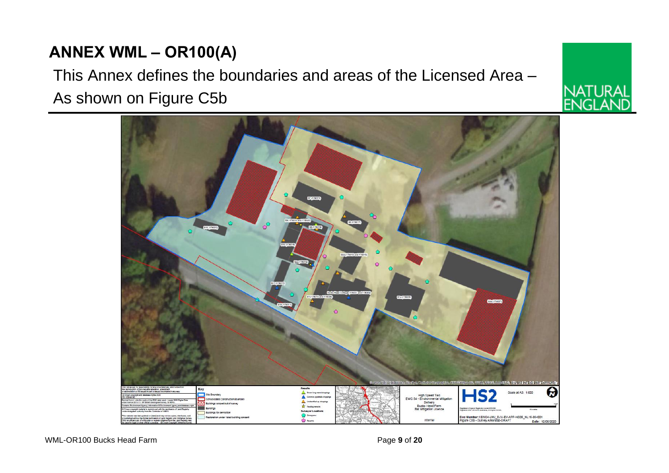## **ANNEX WML – OR100(A)**

## This Annex defines the boundaries and areas of the Licensed Area – As shown on Figure C5b



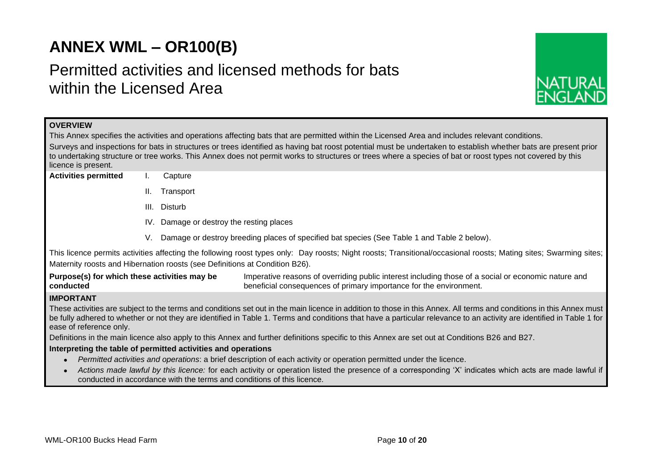## **ANNEX WML – OR100(B)**

## Permitted activities and licensed methods for bats within the Licensed Area



| <b>OVERVIEW</b>                                                                                                                                                                                                                  |                                                                                                                                                                       |  |  |  |  |  |  |  |
|----------------------------------------------------------------------------------------------------------------------------------------------------------------------------------------------------------------------------------|-----------------------------------------------------------------------------------------------------------------------------------------------------------------------|--|--|--|--|--|--|--|
| This Annex specifies the activities and operations affecting bats that are permitted within the Licensed Area and includes relevant conditions.                                                                                  |                                                                                                                                                                       |  |  |  |  |  |  |  |
| Surveys and inspections for bats in structures or trees identified as having bat roost potential must be undertaken to establish whether bats are present prior                                                                  |                                                                                                                                                                       |  |  |  |  |  |  |  |
|                                                                                                                                                                                                                                  | to undertaking structure or tree works. This Annex does not permit works to structures or trees where a species of bat or roost types not covered by this             |  |  |  |  |  |  |  |
| licence is present.<br><b>Activities permitted</b>                                                                                                                                                                               | Capture                                                                                                                                                               |  |  |  |  |  |  |  |
|                                                                                                                                                                                                                                  |                                                                                                                                                                       |  |  |  |  |  |  |  |
|                                                                                                                                                                                                                                  | ΙΙ.<br>Transport                                                                                                                                                      |  |  |  |  |  |  |  |
|                                                                                                                                                                                                                                  | Disturb<br>III.                                                                                                                                                       |  |  |  |  |  |  |  |
|                                                                                                                                                                                                                                  | IV. Damage or destroy the resting places                                                                                                                              |  |  |  |  |  |  |  |
|                                                                                                                                                                                                                                  | Damage or destroy breeding places of specified bat species (See Table 1 and Table 2 below).<br>V.                                                                     |  |  |  |  |  |  |  |
| This licence permits activities affecting the following roost types only: Day roosts; Night roosts; Transitional/occasional roosts; Mating sites; Swarming sites;                                                                |                                                                                                                                                                       |  |  |  |  |  |  |  |
|                                                                                                                                                                                                                                  | Maternity roosts and Hibernation roosts (see Definitions at Condition B26).                                                                                           |  |  |  |  |  |  |  |
| Purpose(s) for which these activities may be                                                                                                                                                                                     | Imperative reasons of overriding public interest including those of a social or economic nature and                                                                   |  |  |  |  |  |  |  |
| conducted                                                                                                                                                                                                                        | beneficial consequences of primary importance for the environment.                                                                                                    |  |  |  |  |  |  |  |
| <b>IMPORTANT</b>                                                                                                                                                                                                                 |                                                                                                                                                                       |  |  |  |  |  |  |  |
|                                                                                                                                                                                                                                  | These activities are subject to the terms and conditions set out in the main licence in addition to those in this Annex. All terms and conditions in this Annex must  |  |  |  |  |  |  |  |
|                                                                                                                                                                                                                                  | be fully adhered to whether or not they are identified in Table 1. Terms and conditions that have a particular relevance to an activity are identified in Table 1 for |  |  |  |  |  |  |  |
| ease of reference only.                                                                                                                                                                                                          |                                                                                                                                                                       |  |  |  |  |  |  |  |
|                                                                                                                                                                                                                                  | Definitions in the main licence also apply to this Annex and further definitions specific to this Annex are set out at Conditions B26 and B27.                        |  |  |  |  |  |  |  |
|                                                                                                                                                                                                                                  | Interpreting the table of permitted activities and operations                                                                                                         |  |  |  |  |  |  |  |
|                                                                                                                                                                                                                                  | Permitted activities and operations: a brief description of each activity or operation permitted under the licence.                                                   |  |  |  |  |  |  |  |
| Actions made lawful by this licence: for each activity or operation listed the presence of a corresponding 'X' indicates which acts are made lawful if<br>conducted in accordance with the terms and conditions of this licence. |                                                                                                                                                                       |  |  |  |  |  |  |  |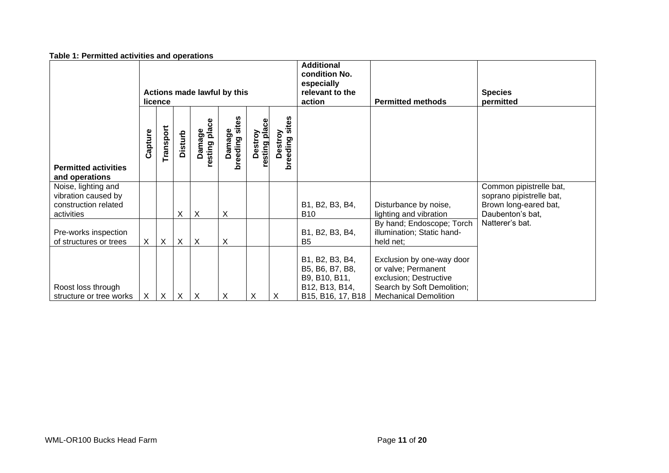|                                                                                                    | Actions made lawful by this<br>licence |           |          |                           |                                 |                          |                              | <b>Additional</b><br>condition No.<br>especially<br>relevant to the<br>action              | <b>Permitted methods</b>                                                                                                                 | <b>Species</b><br>permitted                                                                      |
|----------------------------------------------------------------------------------------------------|----------------------------------------|-----------|----------|---------------------------|---------------------------------|--------------------------|------------------------------|--------------------------------------------------------------------------------------------|------------------------------------------------------------------------------------------------------------------------------------------|--------------------------------------------------------------------------------------------------|
| <b>Permitted activities</b>                                                                        | Capture                                | Transport | Disturb  | Damage<br>resting place   | sites<br>amage<br>breeding<br>õ | Destroy<br>resting place | sites<br>Destroy<br>breeding |                                                                                            |                                                                                                                                          |                                                                                                  |
| and operations<br>Noise, lighting and<br>vibration caused by<br>construction related<br>activities |                                        |           | X        | $\boldsymbol{\mathsf{X}}$ | $\pmb{\mathsf{X}}$              |                          |                              | B1, B2, B3, B4,<br><b>B10</b>                                                              | Disturbance by noise,<br>lighting and vibration                                                                                          | Common pipistrelle bat,<br>soprano pipistrelle bat,<br>Brown long-eared bat,<br>Daubenton's bat, |
| Pre-works inspection<br>of structures or trees                                                     | $\mathsf{X}$                           | $\times$  | X        | $\boldsymbol{\mathsf{X}}$ | $\pmb{\times}$                  |                          |                              | B1, B2, B3, B4,<br>B <sub>5</sub>                                                          | By hand; Endoscope; Torch<br>illumination; Static hand-<br>held net;                                                                     | Natterer's bat.                                                                                  |
| Roost loss through<br>structure or tree works                                                      | X                                      | $\times$  | $\times$ | $\boldsymbol{\mathsf{X}}$ | X                               | Χ                        | X                            | B1, B2, B3, B4,<br>B5, B6, B7, B8,<br>B9, B10, B11,<br>B12, B13, B14,<br>B15, B16, 17, B18 | Exclusion by one-way door<br>or valve; Permanent<br>exclusion; Destructive<br>Search by Soft Demolition;<br><b>Mechanical Demolition</b> |                                                                                                  |

#### **Table 1: Permitted activities and operations**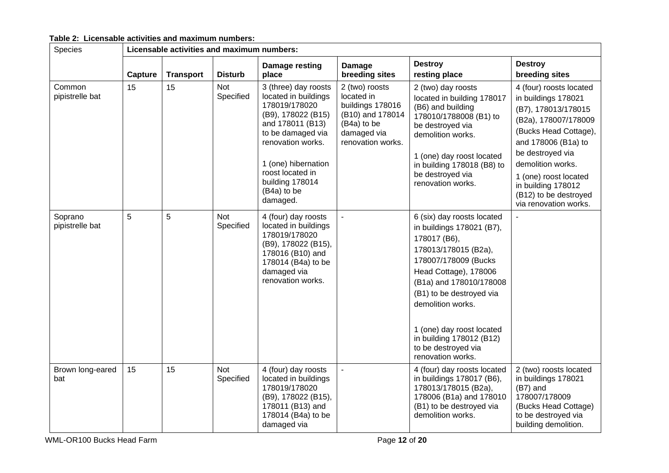| Table 2: Licensable activities and maximum numbers: |  |  |  |  |  |
|-----------------------------------------------------|--|--|--|--|--|
|-----------------------------------------------------|--|--|--|--|--|

| Species                    |         | Licensable activities and maximum numbers: |                         |                                                                                                                                                                                                                                            |                                                                                                                         |                                                                                                                                                                                                                                                                                                                                    |                                                                                                                                                                                                                                                                                         |  |  |
|----------------------------|---------|--------------------------------------------|-------------------------|--------------------------------------------------------------------------------------------------------------------------------------------------------------------------------------------------------------------------------------------|-------------------------------------------------------------------------------------------------------------------------|------------------------------------------------------------------------------------------------------------------------------------------------------------------------------------------------------------------------------------------------------------------------------------------------------------------------------------|-----------------------------------------------------------------------------------------------------------------------------------------------------------------------------------------------------------------------------------------------------------------------------------------|--|--|
|                            | Capture | <b>Transport</b>                           | <b>Disturb</b>          | Damage resting<br>place                                                                                                                                                                                                                    | <b>Damage</b><br>breeding sites                                                                                         | <b>Destroy</b><br>resting place                                                                                                                                                                                                                                                                                                    | <b>Destroy</b><br>breeding sites                                                                                                                                                                                                                                                        |  |  |
| Common<br>pipistrelle bat  | 15      | 15                                         | Not<br>Specified        | 3 (three) day roosts<br>located in buildings<br>178019/178020<br>(B9), 178022 (B15)<br>and 178011 (B13)<br>to be damaged via<br>renovation works.<br>1 (one) hibernation<br>roost located in<br>building 178014<br>(B4a) to be<br>damaged. | 2 (two) roosts<br>located in<br>buildings 178016<br>(B10) and 178014<br>(B4a) to be<br>damaged via<br>renovation works. | 2 (two) day roosts<br>located in building 178017<br>(B6) and building<br>178010/1788008 (B1) to<br>be destroyed via<br>demolition works.<br>1 (one) day roost located<br>in building 178018 (B8) to<br>be destroyed via<br>renovation works.                                                                                       | 4 (four) roosts located<br>in buildings 178021<br>(B7), 178013/178015<br>(B2a), 178007/178009<br>(Bucks Head Cottage),<br>and 178006 (B1a) to<br>be destroyed via<br>demolition works.<br>1 (one) roost located<br>in building 178012<br>(B12) to be destroyed<br>via renovation works. |  |  |
| Soprano<br>pipistrelle bat | 5       | 5                                          | <b>Not</b><br>Specified | 4 (four) day roosts<br>located in buildings<br>178019/178020<br>(B9), 178022 (B15),<br>178016 (B10) and<br>178014 (B4a) to be<br>damaged via<br>renovation works.                                                                          | $\blacksquare$                                                                                                          | 6 (six) day roosts located<br>in buildings 178021 (B7),<br>178017 (B6),<br>178013/178015 (B2a),<br>178007/178009 (Bucks)<br>Head Cottage), 178006<br>(B1a) and 178010/178008<br>(B1) to be destroyed via<br>demolition works.<br>1 (one) day roost located<br>in building 178012 (B12)<br>to be destroyed via<br>renovation works. | $\blacksquare$                                                                                                                                                                                                                                                                          |  |  |
| Brown long-eared<br>bat    | 15      | 15                                         | <b>Not</b><br>Specified | 4 (four) day roosts<br>located in buildings<br>178019/178020<br>(B9), 178022 (B15),<br>178011 (B13) and<br>178014 (B4a) to be<br>damaged via                                                                                               |                                                                                                                         | 4 (four) day roosts located<br>in buildings 178017 (B6),<br>178013/178015 (B2a),<br>178006 (B1a) and 178010<br>(B1) to be destroyed via<br>demolition works.                                                                                                                                                                       | 2 (two) roosts located<br>in buildings 178021<br>(B7) and<br>178007/178009<br>(Bucks Head Cottage)<br>to be destroyed via<br>building demolition.                                                                                                                                       |  |  |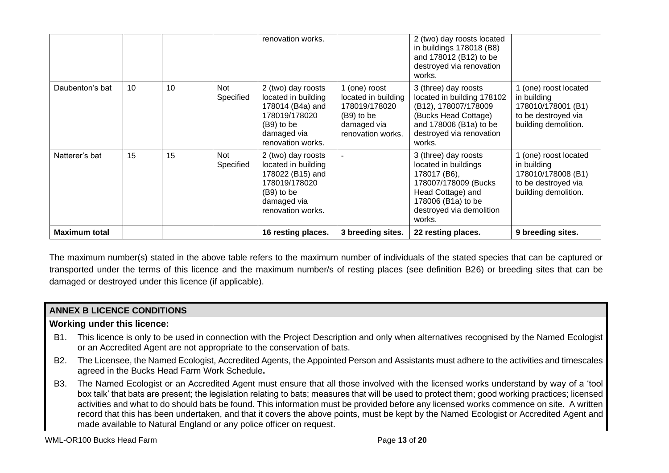|                      |    |    |                         | renovation works.                                                                                                                  |                                                                                                         | 2 (two) day roosts located<br>in buildings 178018 (B8)<br>and 178012 (B12) to be<br>destroyed via renovation<br>works.                                                 |                                                                                                           |
|----------------------|----|----|-------------------------|------------------------------------------------------------------------------------------------------------------------------------|---------------------------------------------------------------------------------------------------------|------------------------------------------------------------------------------------------------------------------------------------------------------------------------|-----------------------------------------------------------------------------------------------------------|
| Daubenton's bat      | 10 | 10 | <b>Not</b><br>Specified | 2 (two) day roosts<br>located in building<br>178014 (B4a) and<br>178019/178020<br>$(B9)$ to be<br>damaged via<br>renovation works. | 1 (one) roost<br>located in building<br>178019/178020<br>(B9) to be<br>damaged via<br>renovation works. | 3 (three) day roosts<br>located in building 178102<br>(B12), 178007/178009<br>(Bucks Head Cottage)<br>and 178006 (B1a) to be<br>destroyed via renovation<br>works.     | 1 (one) roost located<br>in building<br>178010/178001 (B1)<br>to be destroyed via<br>building demolition. |
| Natterer's bat       | 15 | 15 | <b>Not</b><br>Specified | 2 (two) day roosts<br>located in building<br>178022 (B15) and<br>178019/178020<br>$(B9)$ to be<br>damaged via<br>renovation works. |                                                                                                         | 3 (three) day roosts<br>located in buildings<br>178017 (B6),<br>178007/178009 (Bucks)<br>Head Cottage) and<br>178006 (B1a) to be<br>destroyed via demolition<br>works. | 1 (one) roost located<br>in building<br>178010/178008 (B1)<br>to be destroyed via<br>building demolition. |
| <b>Maximum total</b> |    |    |                         | 16 resting places.                                                                                                                 | 3 breeding sites.                                                                                       | 22 resting places.                                                                                                                                                     | 9 breeding sites.                                                                                         |

The maximum number(s) stated in the above table refers to the maximum number of individuals of the stated species that can be captured or transported under the terms of this licence and the maximum number/s of resting places (see definition B26) or breeding sites that can be damaged or destroyed under this licence (if applicable).

## **ANNEX B LICENCE CONDITIONS**

## **Working under this licence:**

- B1. This licence is only to be used in connection with the Project Description and only when alternatives recognised by the Named Ecologist or an Accredited Agent are not appropriate to the conservation of bats.
- B2. The Licensee, the Named Ecologist, Accredited Agents, the Appointed Person and Assistants must adhere to the activities and timescales agreed in the Bucks Head Farm Work Schedule**.**
- B3. The Named Ecologist or an Accredited Agent must ensure that all those involved with the licensed works understand by way of a 'tool box talk' that bats are present; the legislation relating to bats; measures that will be used to protect them; good working practices; licensed activities and what to do should bats be found. This information must be provided before any licensed works commence on site. A written record that this has been undertaken, and that it covers the above points, must be kept by the Named Ecologist or Accredited Agent and made available to Natural England or any police officer on request.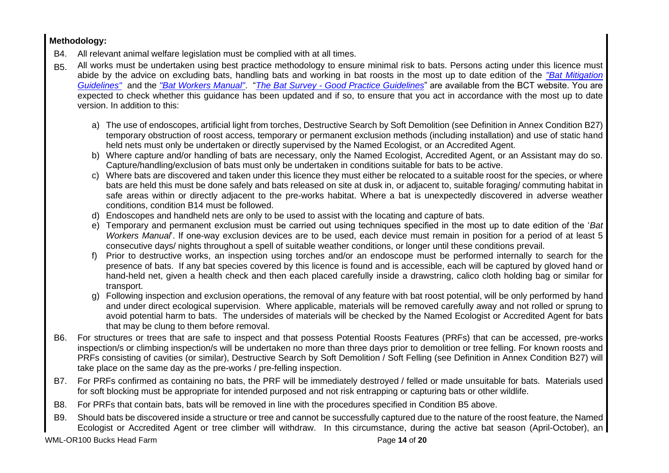## **Methodology:**

- B4. All relevant animal welfare legislation must be complied with at all times.
- B5. All works must be undertaken using best practice methodology to ensure minimal risk to bats. Persons acting under this licence must abide by the advice on excluding bats, handling bats and working in bat roosts in the most up to date edition of the *"Bat Mitigation Guidelines"* and the *"Bat Workers Manual"*. "*The Bat Survey - Good Practice Guidelines*" are available from the BCT website. You are expected to check whether this guidance has been updated and if so, to ensure that you act in accordance with the most up to date version. In addition to this:
	- a) The use of endoscopes, artificial light from torches, Destructive Search by Soft Demolition (see Definition in Annex Condition B27) temporary obstruction of roost access, temporary or permanent exclusion methods (including installation) and use of static hand held nets must only be undertaken or directly supervised by the Named Ecologist, or an Accredited Agent.
	- b) Where capture and/or handling of bats are necessary, only the Named Ecologist, Accredited Agent, or an Assistant may do so. Capture/handling/exclusion of bats must only be undertaken in conditions suitable for bats to be active.
	- c) Where bats are discovered and taken under this licence they must either be relocated to a suitable roost for the species, or where bats are held this must be done safely and bats released on site at dusk in, or adjacent to, suitable foraging/ commuting habitat in safe areas within or directly adjacent to the pre-works habitat. Where a bat is unexpectedly discovered in adverse weather conditions, condition B14 must be followed.
	- d) Endoscopes and handheld nets are only to be used to assist with the locating and capture of bats.
	- e) Temporary and permanent exclusion must be carried out using techniques specified in the most up to date edition of the '*Bat Workers Manual*'. If one-way exclusion devices are to be used, each device must remain in position for a period of at least 5 consecutive days/ nights throughout a spell of suitable weather conditions, or longer until these conditions prevail.
	- f) Prior to destructive works, an inspection using torches and/or an endoscope must be performed internally to search for the presence of bats. If any bat species covered by this licence is found and is accessible, each will be captured by gloved hand or hand-held net, given a health check and then each placed carefully inside a drawstring, calico cloth holding bag or similar for transport.
	- g) Following inspection and exclusion operations, the removal of any feature with bat roost potential, will be only performed by hand and under direct ecological supervision. Where applicable, materials will be removed carefully away and not rolled or sprung to avoid potential harm to bats. The undersides of materials will be checked by the Named Ecologist or Accredited Agent for bats that may be clung to them before removal.
- B6. For structures or trees that are safe to inspect and that possess Potential Roosts Features (PRFs) that can be accessed, pre-works inspection/s or climbing inspection/s will be undertaken no more than three days prior to demolition or tree felling. For known roosts and PRFs consisting of cavities (or similar), Destructive Search by Soft Demolition / Soft Felling (see Definition in Annex Condition B27) will take place on the same day as the pre-works / pre-felling inspection.
- B7. For PRFs confirmed as containing no bats, the PRF will be immediately destroyed / felled or made unsuitable for bats. Materials used for soft blocking must be appropriate for intended purposed and not risk entrapping or capturing bats or other wildlife.
- B8. For PRFs that contain bats, bats will be removed in line with the procedures specified in Condition B5 above.
- B9. Should bats be discovered inside a structure or tree and cannot be successfully captured due to the nature of the roost feature, the Named Ecologist or Accredited Agent or tree climber will withdraw. In this circumstance, during the active bat season (April-October), an

WML-OR100 Bucks Head Farm **Page 14** of **20 Page 14** of **20**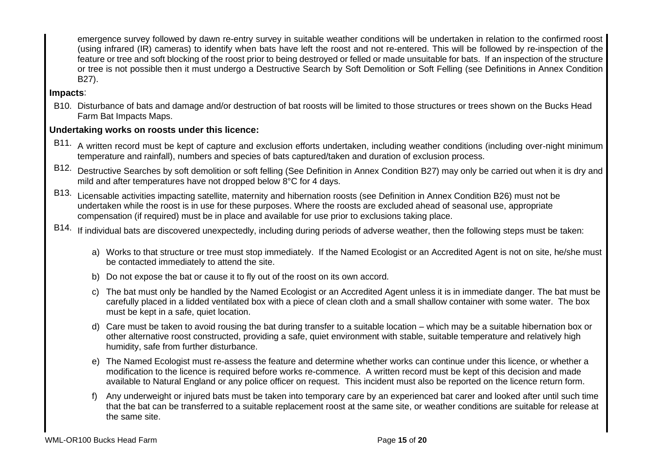emergence survey followed by dawn re-entry survey in suitable weather conditions will be undertaken in relation to the confirmed roost (using infrared (IR) cameras) to identify when bats have left the roost and not re-entered. This will be followed by re-inspection of the feature or tree and soft blocking of the roost prior to being destroyed or felled or made unsuitable for bats. If an inspection of the structure or tree is not possible then it must undergo a Destructive Search by Soft Demolition or Soft Felling (see Definitions in Annex Condition B27).

## **Impacts**:

B10. Disturbance of bats and damage and/or destruction of bat roosts will be limited to those structures or trees shown on the Bucks Head Farm Bat Impacts Maps.

## **Undertaking works on roosts under this licence:**

- B11. A written record must be kept of capture and exclusion efforts undertaken, including weather conditions (including over-night minimum temperature and rainfall), numbers and species of bats captured/taken and duration of exclusion process.
- B12. Destructive Searches by soft demolition or soft felling (See Definition in Annex Condition B27) may only be carried out when it is dry and mild and after temperatures have not dropped below 8°C for 4 days.
- B13. Licensable activities impacting satellite, maternity and hibernation roosts (see Definition in Annex Condition B26) must not be undertaken while the roost is in use for these purposes. Where the roosts are excluded ahead of seasonal use, appropriate compensation (if required) must be in place and available for use prior to exclusions taking place.
- B14. If individual bats are discovered unexpectedly, including during periods of adverse weather, then the following steps must be taken:
	- a) Works to that structure or tree must stop immediately. If the Named Ecologist or an Accredited Agent is not on site, he/she must be contacted immediately to attend the site.
	- b) Do not expose the bat or cause it to fly out of the roost on its own accord.
	- c) The bat must only be handled by the Named Ecologist or an Accredited Agent unless it is in immediate danger. The bat must be carefully placed in a lidded ventilated box with a piece of clean cloth and a small shallow container with some water. The box must be kept in a safe, quiet location.
	- d) Care must be taken to avoid rousing the bat during transfer to a suitable location which may be a suitable hibernation box or other alternative roost constructed, providing a safe, quiet environment with stable, suitable temperature and relatively high humidity, safe from further disturbance.
	- e) The Named Ecologist must re-assess the feature and determine whether works can continue under this licence, or whether a modification to the licence is required before works re-commence. A written record must be kept of this decision and made available to Natural England or any police officer on request. This incident must also be reported on the licence return form.
	- f) Any underweight or injured bats must be taken into temporary care by an experienced bat carer and looked after until such time that the bat can be transferred to a suitable replacement roost at the same site, or weather conditions are suitable for release at the same site.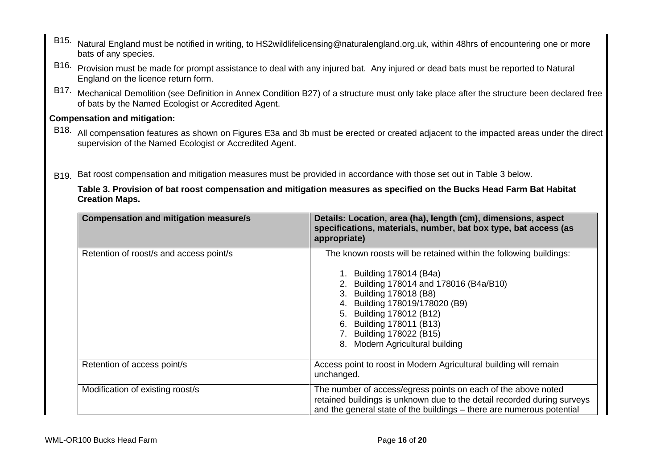- B15. Natural England must be notified in writing, to HS2wildlifelicensing@naturalengland.org.uk, within 48hrs of encountering one or more bats of any species.
- B16. Provision must be made for prompt assistance to deal with any injured bat. Any injured or dead bats must be reported to Natural England on the licence return form.
- B17. Mechanical Demolition (see Definition in Annex Condition B27) of a structure must only take place after the structure been declared free of bats by the Named Ecologist or Accredited Agent.

## **Compensation and mitigation:**

- B18. All compensation features as shown on Figures E3a and 3b must be erected or created adjacent to the impacted areas under the direct supervision of the Named Ecologist or Accredited Agent.
- B19. Bat roost compensation and mitigation measures must be provided in accordance with those set out in Table 3 below.

**Table 3. Provision of bat roost compensation and mitigation measures as specified on the Bucks Head Farm Bat Habitat Creation Maps.**

| <b>Compensation and mitigation measure/s</b> | Details: Location, area (ha), length (cm), dimensions, aspect<br>specifications, materials, number, bat box type, bat access (as<br>appropriate)                                                                                                                                                                             |
|----------------------------------------------|------------------------------------------------------------------------------------------------------------------------------------------------------------------------------------------------------------------------------------------------------------------------------------------------------------------------------|
| Retention of roost/s and access point/s      | The known roosts will be retained within the following buildings:<br>1. Building 178014 (B4a)<br>2. Building 178014 and 178016 (B4a/B10)<br>3. Building 178018 (B8)<br>4. Building 178019/178020 (B9)<br>5. Building 178012 (B12)<br>6. Building 178011 (B13)<br>7. Building 178022 (B15)<br>8. Modern Agricultural building |
| Retention of access point/s                  | Access point to roost in Modern Agricultural building will remain<br>unchanged.                                                                                                                                                                                                                                              |
| Modification of existing roost/s             | The number of access/egress points on each of the above noted<br>retained buildings is unknown due to the detail recorded during surveys<br>and the general state of the buildings – there are numerous potential                                                                                                            |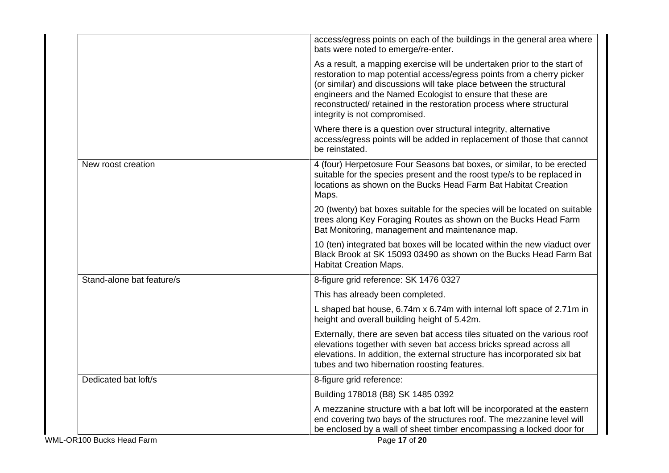|                           | access/egress points on each of the buildings in the general area where<br>bats were noted to emerge/re-enter.                                                                                                                                                                                                                                                                                  |
|---------------------------|-------------------------------------------------------------------------------------------------------------------------------------------------------------------------------------------------------------------------------------------------------------------------------------------------------------------------------------------------------------------------------------------------|
|                           | As a result, a mapping exercise will be undertaken prior to the start of<br>restoration to map potential access/egress points from a cherry picker<br>(or similar) and discussions will take place between the structural<br>engineers and the Named Ecologist to ensure that these are<br>reconstructed/ retained in the restoration process where structural<br>integrity is not compromised. |
|                           | Where there is a question over structural integrity, alternative<br>access/egress points will be added in replacement of those that cannot<br>be reinstated.                                                                                                                                                                                                                                    |
| New roost creation        | 4 (four) Herpetosure Four Seasons bat boxes, or similar, to be erected<br>suitable for the species present and the roost type/s to be replaced in<br>locations as shown on the Bucks Head Farm Bat Habitat Creation<br>Maps.                                                                                                                                                                    |
|                           | 20 (twenty) bat boxes suitable for the species will be located on suitable<br>trees along Key Foraging Routes as shown on the Bucks Head Farm<br>Bat Monitoring, management and maintenance map.                                                                                                                                                                                                |
|                           | 10 (ten) integrated bat boxes will be located within the new viaduct over<br>Black Brook at SK 15093 03490 as shown on the Bucks Head Farm Bat<br><b>Habitat Creation Maps.</b>                                                                                                                                                                                                                 |
| Stand-alone bat feature/s | 8-figure grid reference: SK 1476 0327                                                                                                                                                                                                                                                                                                                                                           |
|                           | This has already been completed.                                                                                                                                                                                                                                                                                                                                                                |
|                           | L shaped bat house, 6.74m x 6.74m with internal loft space of 2.71m in<br>height and overall building height of 5.42m.                                                                                                                                                                                                                                                                          |
|                           | Externally, there are seven bat access tiles situated on the various roof<br>elevations together with seven bat access bricks spread across all<br>elevations. In addition, the external structure has incorporated six bat<br>tubes and two hibernation roosting features.                                                                                                                     |
| Dedicated bat loft/s      | 8-figure grid reference:                                                                                                                                                                                                                                                                                                                                                                        |
|                           | Building 178018 (B8) SK 1485 0392                                                                                                                                                                                                                                                                                                                                                               |
|                           | A mezzanine structure with a bat loft will be incorporated at the eastern<br>end covering two bays of the structures roof. The mezzanine level will<br>be enclosed by a wall of sheet timber encompassing a locked door for                                                                                                                                                                     |
| WML-OR100 Bucks Head Farm | Page 17 of 20                                                                                                                                                                                                                                                                                                                                                                                   |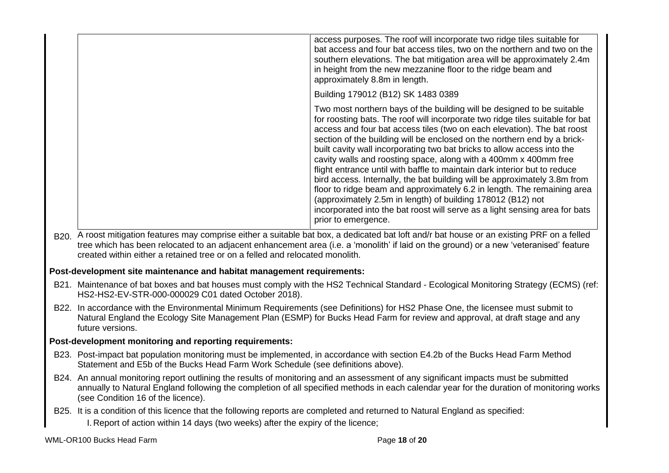| access purposes. The roof will incorporate two ridge tiles suitable for<br>bat access and four bat access tiles, two on the northern and two on the<br>southern elevations. The bat mitigation area will be approximately 2.4m<br>in height from the new mezzanine floor to the ridge beam and<br>approximately 8.8m in length.                                                                                                                                                                                                                                                                                                                                                                                                                                                                                                                                         |
|-------------------------------------------------------------------------------------------------------------------------------------------------------------------------------------------------------------------------------------------------------------------------------------------------------------------------------------------------------------------------------------------------------------------------------------------------------------------------------------------------------------------------------------------------------------------------------------------------------------------------------------------------------------------------------------------------------------------------------------------------------------------------------------------------------------------------------------------------------------------------|
| Building 179012 (B12) SK 1483 0389                                                                                                                                                                                                                                                                                                                                                                                                                                                                                                                                                                                                                                                                                                                                                                                                                                      |
| Two most northern bays of the building will be designed to be suitable<br>for roosting bats. The roof will incorporate two ridge tiles suitable for bat<br>access and four bat access tiles (two on each elevation). The bat roost<br>section of the building will be enclosed on the northern end by a brick-<br>built cavity wall incorporating two bat bricks to allow access into the<br>cavity walls and roosting space, along with a 400mm x 400mm free<br>flight entrance until with baffle to maintain dark interior but to reduce<br>bird access. Internally, the bat building will be approximately 3.8m from<br>floor to ridge beam and approximately 6.2 in length. The remaining area<br>(approximately 2.5m in length) of building 178012 (B12) not<br>incorporated into the bat roost will serve as a light sensing area for bats<br>prior to emergence. |

B<sub>20.</sub> A roost mitigation features may comprise either a suitable bat box, a dedicated bat loft and/r bat house or an existing PRF on a felled tree which has been relocated to an adjacent enhancement area (i.e. a 'monolith' if laid on the ground) or a new 'veteranised' feature created within either a retained tree or on a felled and relocated monolith.

## **Post-development site maintenance and habitat management requirements:**

- B21. Maintenance of bat boxes and bat houses must comply with the HS2 Technical Standard Ecological Monitoring Strategy (ECMS) (ref: HS2-HS2-EV-STR-000-000029 C01 dated October 2018).
- B22. In accordance with the Environmental Minimum Requirements (see Definitions) for HS2 Phase One, the licensee must submit to Natural England the Ecology Site Management Plan (ESMP) for Bucks Head Farm for review and approval, at draft stage and any future versions.

## **Post-development monitoring and reporting requirements:**

- B23. Post-impact bat population monitoring must be implemented, in accordance with section E4.2b of the Bucks Head Farm Method Statement and E5b of the Bucks Head Farm Work Schedule (see definitions above).
- B24. An annual monitoring report outlining the results of monitoring and an assessment of any significant impacts must be submitted annually to Natural England following the completion of all specified methods in each calendar year for the duration of monitoring works (see Condition 16 of the licence).
- B25. It is a condition of this licence that the following reports are completed and returned to Natural England as specified: I. Report of action within 14 days (two weeks) after the expiry of the licence;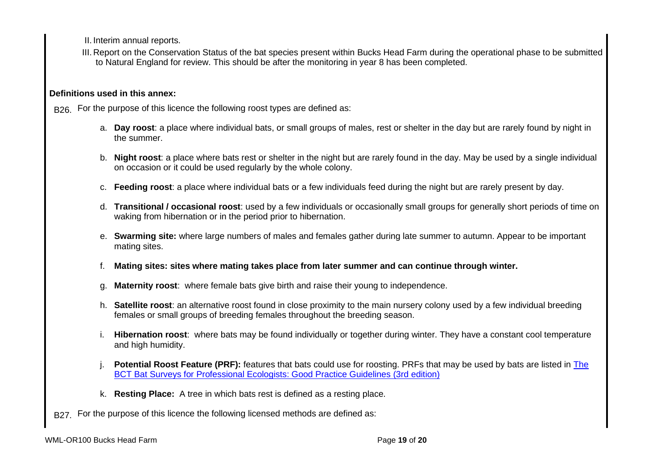II. Interim annual reports.

III. Report on the Conservation Status of the bat species present within Bucks Head Farm during the operational phase to be submitted to Natural England for review. This should be after the monitoring in year 8 has been completed.

## **Definitions used in this annex:**

B<sub>26.</sub> For the purpose of this licence the following roost types are defined as:

- a. **Day roost**: a place where individual bats, or small groups of males, rest or shelter in the day but are rarely found by night in the summer.
- b. **Night roost**: a place where bats rest or shelter in the night but are rarely found in the day. May be used by a single individual on occasion or it could be used regularly by the whole colony.
- c. **Feeding roost**: a place where individual bats or a few individuals feed during the night but are rarely present by day.
- d. **Transitional / occasional roost**: used by a few individuals or occasionally small groups for generally short periods of time on waking from hibernation or in the period prior to hibernation.
- e. **Swarming site:** where large numbers of males and females gather during late summer to autumn. Appear to be important mating sites.
- f. **Mating sites: sites where mating takes place from later summer and can continue through winter.**
- g. **Maternity roost**: where female bats give birth and raise their young to independence.
- h. **Satellite roost**: an alternative roost found in close proximity to the main nursery colony used by a few individual breeding females or small groups of breeding females throughout the breeding season.
- i. **Hibernation roost**: where bats may be found individually or together during winter. They have a constant cool temperature and high humidity.
- **Potential Roost Feature (PRF):** features that bats could use for roosting. PRFs that may be used by bats are listed in The BCT Bat Surveys for Professional Ecologists: Good Practice Guidelines (3rd edition)
- k. **Resting Place:** A tree in which bats rest is defined as a resting place.
- B27. For the purpose of this licence the following licensed methods are defined as: